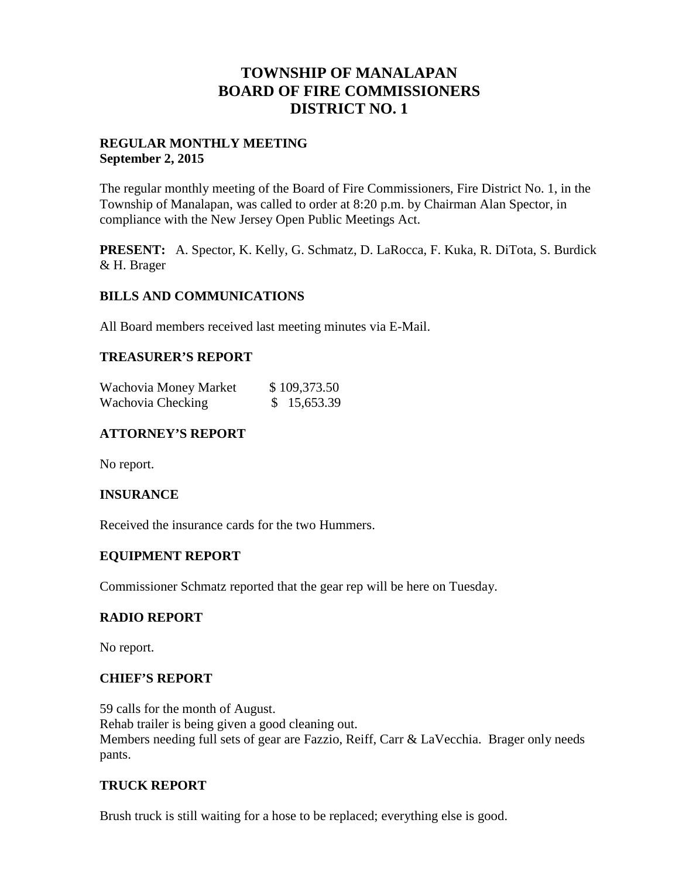# **TOWNSHIP OF MANALAPAN BOARD OF FIRE COMMISSIONERS DISTRICT NO. 1**

### **REGULAR MONTHLY MEETING September 2, 2015**

The regular monthly meeting of the Board of Fire Commissioners, Fire District No. 1, in the Township of Manalapan, was called to order at 8:20 p.m. by Chairman Alan Spector, in compliance with the New Jersey Open Public Meetings Act.

**PRESENT:** A. Spector, K. Kelly, G. Schmatz, D. LaRocca, F. Kuka, R. DiTota, S. Burdick & H. Brager

# **BILLS AND COMMUNICATIONS**

All Board members received last meeting minutes via E-Mail.

#### **TREASURER'S REPORT**

| Wachovia Money Market | \$109,373.50 |
|-----------------------|--------------|
| Wachovia Checking     | \$15,653.39  |

# **ATTORNEY'S REPORT**

No report.

#### **INSURANCE**

Received the insurance cards for the two Hummers.

#### **EQUIPMENT REPORT**

Commissioner Schmatz reported that the gear rep will be here on Tuesday.

#### **RADIO REPORT**

No report.

#### **CHIEF'S REPORT**

59 calls for the month of August. Rehab trailer is being given a good cleaning out. Members needing full sets of gear are Fazzio, Reiff, Carr & LaVecchia. Brager only needs pants.

#### **TRUCK REPORT**

Brush truck is still waiting for a hose to be replaced; everything else is good.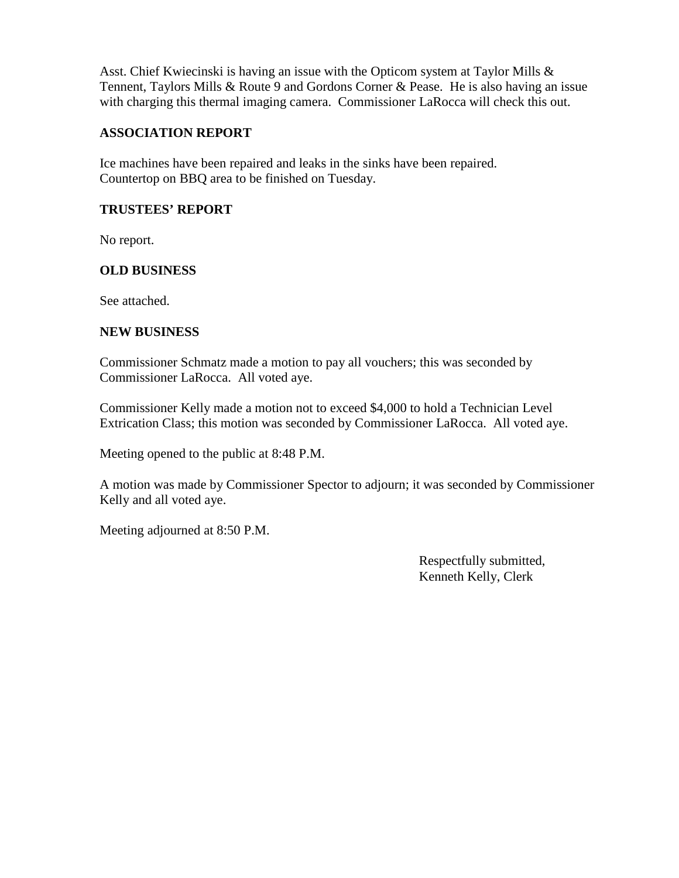Asst. Chief Kwiecinski is having an issue with the Opticom system at Taylor Mills & Tennent, Taylors Mills & Route 9 and Gordons Corner & Pease. He is also having an issue with charging this thermal imaging camera. Commissioner LaRocca will check this out.

# **ASSOCIATION REPORT**

Ice machines have been repaired and leaks in the sinks have been repaired. Countertop on BBQ area to be finished on Tuesday.

### **TRUSTEES' REPORT**

No report.

# **OLD BUSINESS**

See attached.

#### **NEW BUSINESS**

Commissioner Schmatz made a motion to pay all vouchers; this was seconded by Commissioner LaRocca. All voted aye.

Commissioner Kelly made a motion not to exceed \$4,000 to hold a Technician Level Extrication Class; this motion was seconded by Commissioner LaRocca. All voted aye.

Meeting opened to the public at 8:48 P.M.

A motion was made by Commissioner Spector to adjourn; it was seconded by Commissioner Kelly and all voted aye.

Meeting adjourned at 8:50 P.M.

Respectfully submitted, Kenneth Kelly, Clerk